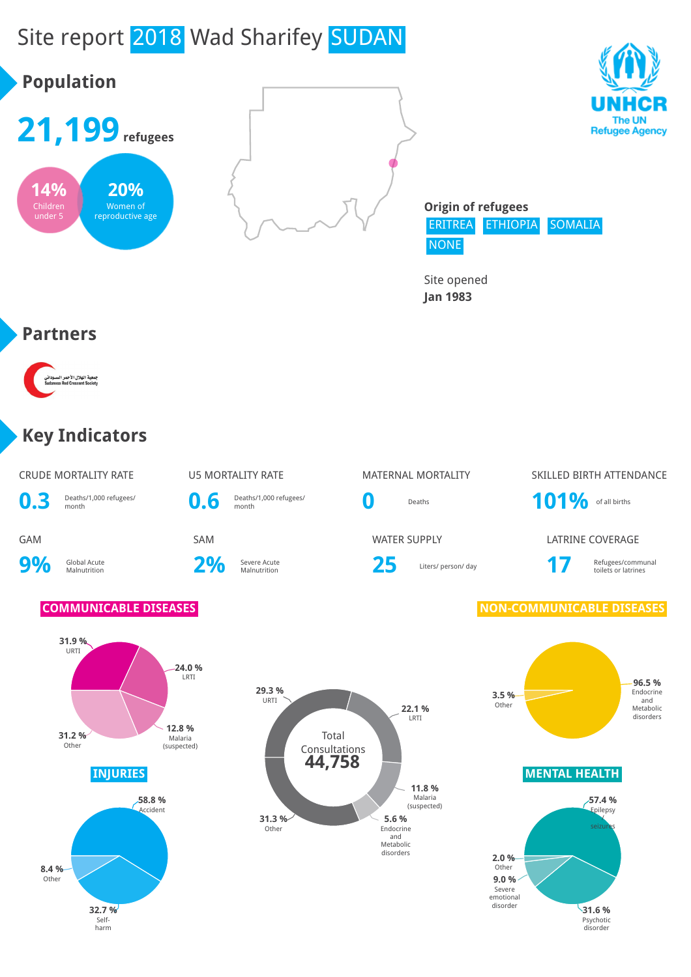# Site report 2018 Wad Sharifey SUDAN



Site opened **Jan 1983**

#### **Partners**



#### **Key Indicators**

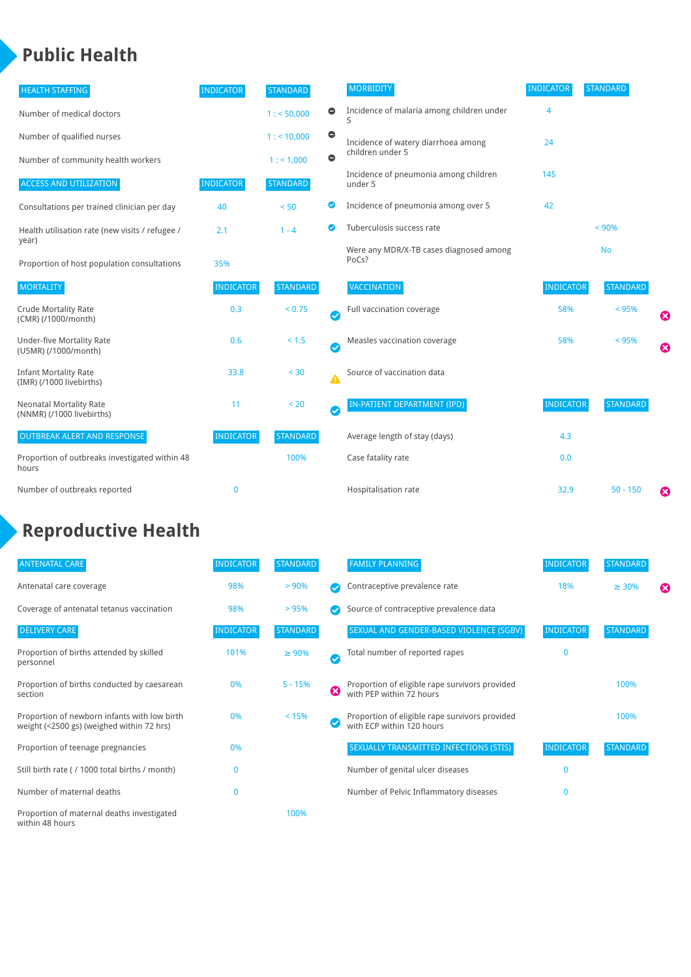### **Public Health**

| <b>HEALTH STAFFING</b>                                      | <b>INDICATOR</b> | <b>STANDARD</b> |           | <b>MORBIDITY</b>                                 | <b>INDICATOR</b> | <b>STANDARD</b> |   |
|-------------------------------------------------------------|------------------|-----------------|-----------|--------------------------------------------------|------------------|-----------------|---|
| Number of medical doctors                                   |                  | 1: 50,000       | $\bullet$ | Incidence of malaria among children under        | 4                |                 |   |
| Number of qualified nurses                                  |                  | $1:$ < 10,000   | $\bullet$ | Incidence of watery diarrhoea among              | 24               |                 |   |
| Number of community health workers                          |                  | 1:1,000         | $\bullet$ | children under 5                                 |                  |                 |   |
| <b>ACCESS AND UTILIZATION</b>                               | <b>INDICATOR</b> | <b>STANDARD</b> |           | Incidence of pneumonia among children<br>under 5 | 145              |                 |   |
| Consultations per trained clinician per day                 | 40               | < 50            | Ø         | Incidence of pneumonia among over 5              | 42               |                 |   |
| Health utilisation rate (new visits / refugee /             | 2.1              | $1 - 4$         | ☑         | Tuberculosis success rate                        |                  | < 90%           |   |
| year)<br>Proportion of host population consultations        | 35%              |                 |           | Were any MDR/X-TB cases diagnosed among<br>PoCs? |                  | <b>No</b>       |   |
| <b>MORTALITY</b>                                            | <b>INDICATOR</b> | <b>STANDARD</b> |           | <b>VACCINATION</b>                               | <b>INDICATOR</b> | <b>STANDARD</b> |   |
| <b>Crude Mortality Rate</b><br>(CMR) (/1000/month)          | 0.3              | < 0.75          | Ø         | Full vaccination coverage                        | 58%              | < 95%           | Ø |
| Under-five Mortality Rate<br>(U5MR) (/1000/month)           | 0.6              | $< 1.5$         | Ø         | Measles vaccination coverage                     | 58%              | < 95%           | Ø |
| <b>Infant Mortality Rate</b><br>(IMR) (/1000 livebirths)    | 33.8             | $30$            | Δ         | Source of vaccination data                       |                  |                 |   |
| <b>Neonatal Mortality Rate</b><br>(NNMR) (/1000 livebirths) | 11               | < 20            | Ø         | IN-PATIENT DEPARTMENT (IPD)                      | <b>INDICATOR</b> | <b>STANDARD</b> |   |
| <b>OUTBREAK ALERT AND RESPONSE</b>                          | <b>INDICATOR</b> | <b>STANDARD</b> |           | Average length of stay (days)                    | 4.3              |                 |   |
| Proportion of outbreaks investigated within 48<br>hours     |                  | 100%            |           | Case fatality rate                               | 0.0              |                 |   |
| Number of outbreaks reported                                | 0                |                 |           | Hospitalisation rate                             | 32.9             | $50 - 150$      | ೞ |

## **Reproductive Health**

| <b>ANTENATAL CARE</b>                                                                     | <b>INDICATOR</b> | <b>STANDARD</b> |               | <b>FAMILY PLANNING</b>                                                      | <b>INDICATOR</b> | <b>STANDARD</b> |   |
|-------------------------------------------------------------------------------------------|------------------|-----------------|---------------|-----------------------------------------------------------------------------|------------------|-----------------|---|
| Antenatal care coverage                                                                   | 98%              | > 90%           |               | Contraceptive prevalence rate                                               | 18%              | $\geq 30\%$     | ⊠ |
| Coverage of antenatal tetanus vaccination                                                 | 98%              | >95%            |               | Source of contraceptive prevalence data                                     |                  |                 |   |
| <b>DELIVERY CARE</b>                                                                      | <b>INDICATOR</b> | <b>STANDARD</b> |               | SEXUAL AND GENDER-BASED VIOLENCE (SGBV)                                     | <b>INDICATOR</b> | <b>STANDARD</b> |   |
| Proportion of births attended by skilled<br>personnel                                     | 101%             | $\geq 90\%$     | $\bm{\omega}$ | Total number of reported rapes                                              | $\mathbf{0}$     |                 |   |
| Proportion of births conducted by caesarean<br>section                                    | 0%               | $5 - 15%$       | ظ             | Proportion of eligible rape survivors provided<br>with PEP within 72 hours  |                  | 100%            |   |
| Proportion of newborn infants with low birth<br>weight (<2500 gs) (weighed within 72 hrs) | 0%               | < 15%           |               | Proportion of eligible rape survivors provided<br>with ECP within 120 hours |                  | 100%            |   |
| Proportion of teenage pregnancies                                                         | 0%               |                 |               | SEXUALLY TRANSMITTED INFECTIONS (STIS)                                      | <b>INDICATOR</b> | <b>STANDARD</b> |   |
| Still birth rate (/ 1000 total births / month)                                            | $\Omega$         |                 |               | Number of genital ulcer diseases                                            | $\Omega$         |                 |   |
| Number of maternal deaths                                                                 | $\mathbf{0}$     |                 |               | Number of Pelvic Inflammatory diseases                                      | $\Omega$         |                 |   |
| Proportion of maternal deaths investigated<br>within 48 hours                             |                  | 100%            |               |                                                                             |                  |                 |   |